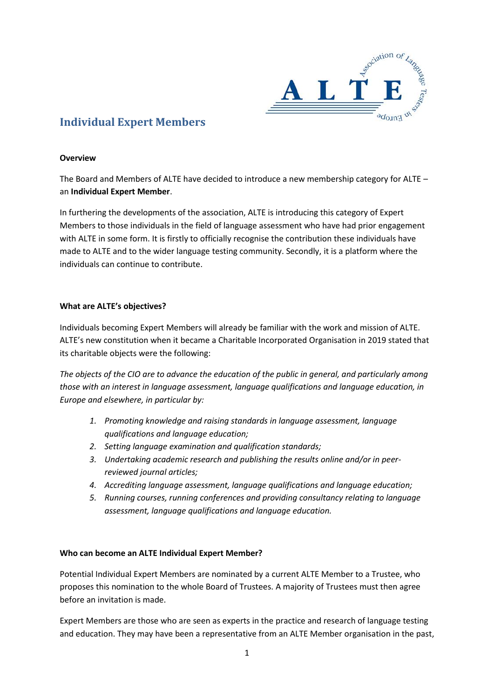

# **Individual Expert Members**

#### **Overview**

The Board and Members of ALTE have decided to introduce a new membership category for ALTE – an **Individual Expert Member**.

In furthering the developments of the association, ALTE is introducing this category of Expert Members to those individuals in the field of language assessment who have had prior engagement with ALTE in some form. It is firstly to officially recognise the contribution these individuals have made to ALTE and to the wider language testing community. Secondly, it is a platform where the individuals can continue to contribute.

## **What are ALTE's objectives?**

Individuals becoming Expert Members will already be familiar with the work and mission of ALTE. ALTE's new constitution when it became a Charitable Incorporated Organisation in 2019 stated that its charitable objects were the following:

*The objects of the CIO are to advance the education of the public in general, and particularly among those with an interest in language assessment, language qualifications and language education, in Europe and elsewhere, in particular by:* 

- *1. Promoting knowledge and raising standards in language assessment, language qualifications and language education;*
- *2. Setting language examination and qualification standards;*
- *3. Undertaking academic research and publishing the results online and/or in peerreviewed journal articles;*
- *4. Accrediting language assessment, language qualifications and language education;*
- *5. Running courses, running conferences and providing consultancy relating to language assessment, language qualifications and language education.*

#### **Who can become an ALTE Individual Expert Member?**

Potential Individual Expert Members are nominated by a current ALTE Member to a Trustee, who proposes this nomination to the whole Board of Trustees. A majority of Trustees must then agree before an invitation is made.

Expert Members are those who are seen as experts in the practice and research of language testing and education. They may have been a representative from an ALTE Member organisation in the past,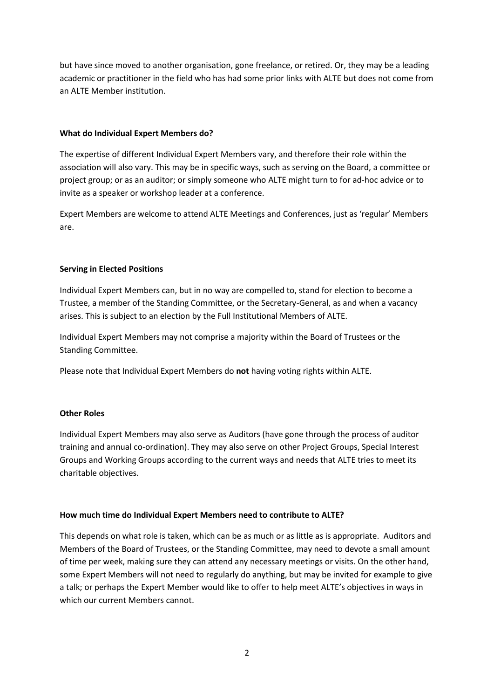but have since moved to another organisation, gone freelance, or retired. Or, they may be a leading academic or practitioner in the field who has had some prior links with ALTE but does not come from an ALTE Member institution.

## **What do Individual Expert Members do?**

The expertise of different Individual Expert Members vary, and therefore their role within the association will also vary. This may be in specific ways, such as serving on the Board, a committee or project group; or as an auditor; or simply someone who ALTE might turn to for ad-hoc advice or to invite as a speaker or workshop leader at a conference.

Expert Members are welcome to attend ALTE Meetings and Conferences, just as 'regular' Members are.

# **Serving in Elected Positions**

Individual Expert Members can, but in no way are compelled to, stand for election to become a Trustee, a member of the Standing Committee, or the Secretary-General, as and when a vacancy arises. This is subject to an election by the Full Institutional Members of ALTE.

Individual Expert Members may not comprise a majority within the Board of Trustees or the Standing Committee.

Please note that Individual Expert Members do **not** having voting rights within ALTE.

# **Other Roles**

Individual Expert Members may also serve as Auditors (have gone through the process of auditor training and annual co-ordination). They may also serve on other Project Groups, Special Interest Groups and Working Groups according to the current ways and needs that ALTE tries to meet its charitable objectives.

# **How much time do Individual Expert Members need to contribute to ALTE?**

This depends on what role is taken, which can be as much or as little as is appropriate. Auditors and Members of the Board of Trustees, or the Standing Committee, may need to devote a small amount of time per week, making sure they can attend any necessary meetings or visits. On the other hand, some Expert Members will not need to regularly do anything, but may be invited for example to give a talk; or perhaps the Expert Member would like to offer to help meet ALTE's objectives in ways in which our current Members cannot.